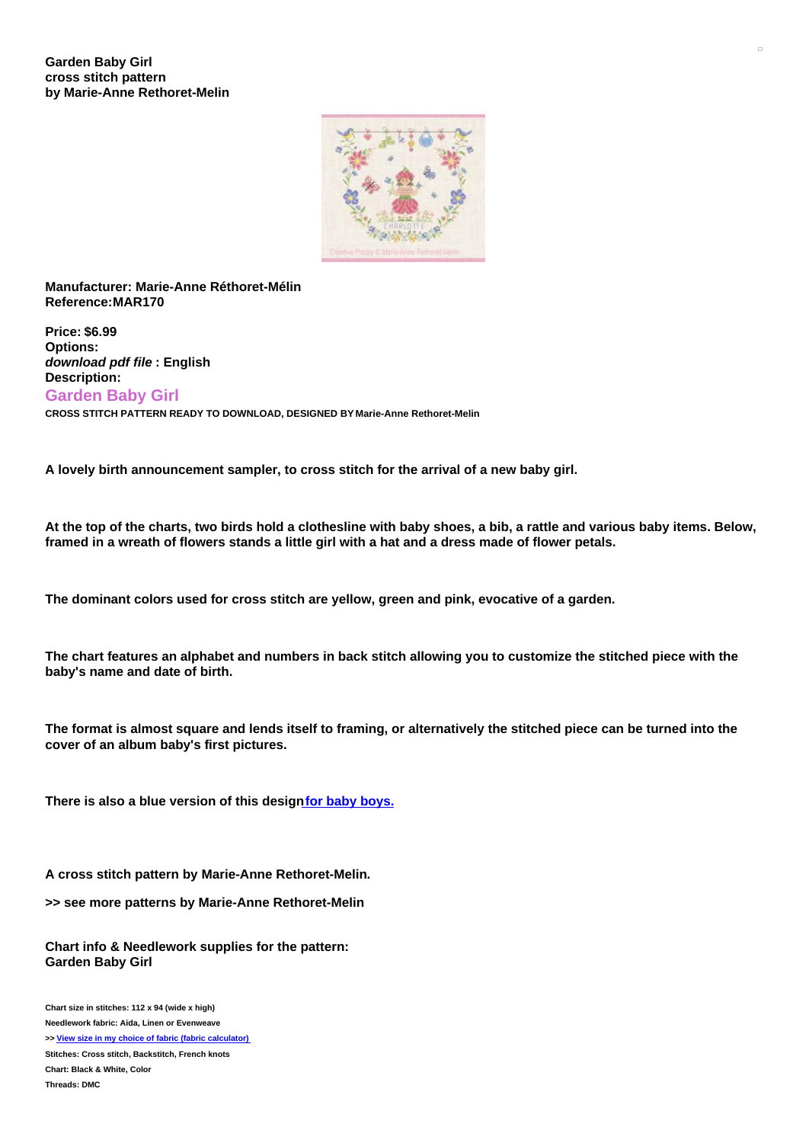

## **Manufacturer: Marie-Anne Réthoret-Mélin Reference:MAR170**

**Price: \$6.99 Options:** *download pdf file* **: English Description: Garden Baby Girl CROSS STITCH PATTERN READY TO DOWNLOAD, DESIGNED BY Marie-Anne Rethoret-Melin**

**A lovely birth announcement sampler, to cross stitch for the arrival of a new baby girl.**

At the top of the charts, two birds hold a clothesline with baby shoes, a bib, a rattle and various baby items. Below, framed in a wreath of flowers stands a little girl with a hat and a dress made of flower petals.

**The dominant colors used for cross stitch are yellow, green and pink, evocative of a garden.**

The chart features an alphabet and numbers in back stitch allowing you to customize the stitched piece with the **baby's name and date of birth.**

The format is almost square and lends itself to framing, or alternatively the stitched piece can be turned into the **cover of an album baby's first pictures.**

**There is also a blue version of this designfor baby [boys.](https://www.creativepoppypatterns.com/marieanne-rethoretmelin-garden-baby-cross-stitch-xml-296_322-3537.html)**

**A cross stitch pattern by Marie-Anne Rethoret-Melin.**

**>> see more patterns by Marie-Anne Rethoret-Melin**

**Chart info & Needlework supplies for the pattern: Garden Baby Girl**

**Chart size in stitches: 112 x 94 (wide x high) Needlework fabric: Aida, Linen or Evenweave >> View size in my choice of fabric (fabric [calculator\)](https://www.creativepoppypatterns.com/calculette-de-toile.php?products_id=3538&w=112&h=94) Stitches: Cross stitch, Backstitch, French knots Chart: Black & White, Color Threads: DMC**